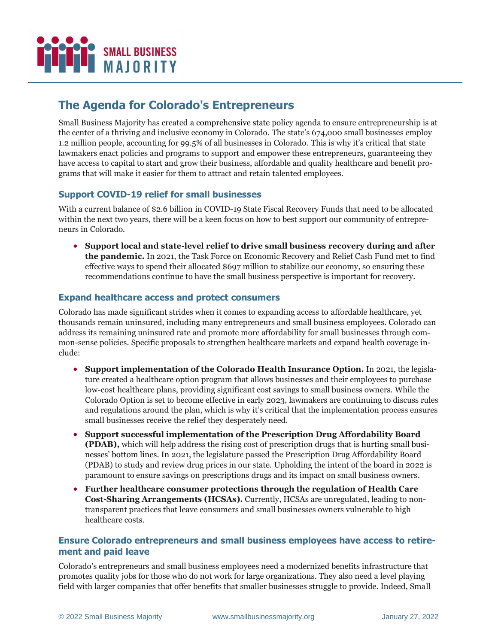

# **The Agenda for Colorado's Entrepreneurs**

Small Business Majority has created a comprehensive state policy agenda to ensure entrepreneurship is at the center of a thriving and inclusive economy in Colorado. The state's 674,000 small businesses employ 1.2 million people, accounting for 99.5% of all businesses in Colorado. This is why it's critical that state lawmakers enact policies and programs to support and empower these entrepreneurs, guaranteeing they have access to capital to start and grow their business, affordable and quality healthcare and benefit programs that will make it easier for them to attract and retain talented employees.

## **Support COVID-19 relief for small businesses**

With a current balance of \$2.6 billion in COVID-19 State Fiscal Recovery Funds that need to be allocated within the next two years, there will be a keen focus on how to best support our community of entrepreneurs in Colorado.

• **Support local and state-level relief to drive small business recovery during and after the pandemic.** In 2021, the Task Force on Economic Recovery and Relief Cash Fund met to find effective ways to spend their allocated \$697 million to stabilize our economy, so ensuring these recommendations continue to have the small business perspective is important for recovery.

### **Expand healthcare access and protect consumers**

Colorado has made significant strides when it comes to expanding access to affordable healthcare, yet thousands remain uninsured, including many entrepreneurs and small business employees. Colorado can address its remaining uninsured rate and promote more affordability for small businesses through common-sense policies. Specific proposals to strengthen healthcare markets and expand health coverage include:

- **Support implementation of the Colorado Health Insurance Option.** In 2021, the legislature created a healthcare option program that allows businesses and their employees to purchase low-cost healthcare plans, providing significant cost savings to small business owners. While the Colorado Option is set to become effective in early 2023, lawmakers are continuing to discuss rules and regulations around the plan, which is why it's critical that the implementation process ensures small businesses receive the relief they desperately need.
- **Support successful implementation of the Prescription Drug Affordability Board (PDAB),** which will help address the rising cost of prescription drugs that is hurting small businesses' bottom lines. In 2021, the legislature passed the Prescription Drug Affordability Board (PDAB) to study and review drug prices in our state. Upholding the intent of the board in 2022 is paramount to ensure savings on prescriptions drugs and its impact on small business owners.
- **Further healthcare consumer protections through the regulation of Health Care Cost-Sharing Arrangements (HCSAs).** Currently, HCSAs are unregulated, leading to nontransparent practices that leave consumers and small businesses owners vulnerable to high healthcare costs.

### **Ensure Colorado entrepreneurs and small business employees have access to retirement and paid leave**

Colorado's entrepreneurs and small business employees need a modernized benefits infrastructure that promotes quality jobs for those who do not work for large organizations. They also need a level playing field with larger companies that offer benefits that smaller businesses struggle to provide. Indeed, Small